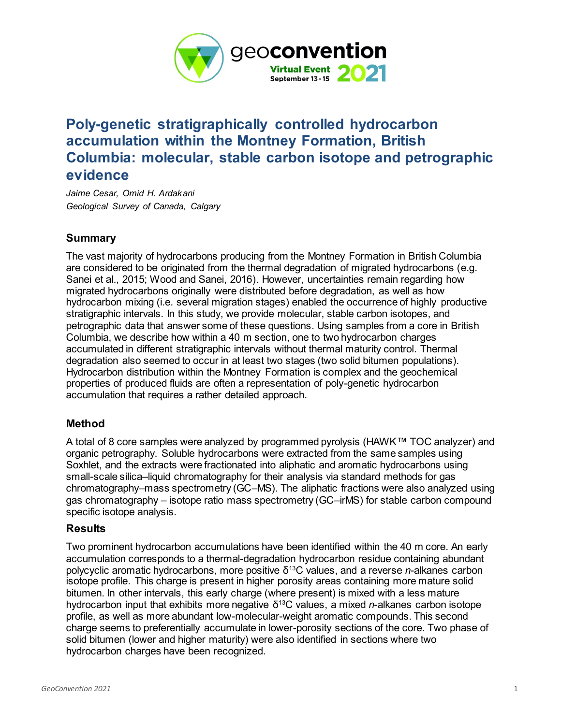

# **Poly-genetic stratigraphically controlled hydrocarbon accumulation within the Montney Formation, British Columbia: molecular, stable carbon isotope and petrographic evidence**

*Jaime Cesar, Omid H. Ardakani Geological Survey of Canada, Calgary*

## **Summary**

The vast majority of hydrocarbons producing from the Montney Formation in British Columbia are considered to be originated from the thermal degradation of migrated hydrocarbons (e.g. Sanei et al., 2015; Wood and Sanei, 2016). However, uncertainties remain regarding how migrated hydrocarbons originally were distributed before degradation, as well as how hydrocarbon mixing (i.e. several migration stages) enabled the occurrence of highly productive stratigraphic intervals. In this study, we provide molecular, stable carbon isotopes, and petrographic data that answer some of these questions. Using samples from a core in British Columbia, we describe how within a 40 m section, one to two hydrocarbon charges accumulated in different stratigraphic intervals without thermal maturity control. Thermal degradation also seemed to occur in at least two stages (two solid bitumen populations). Hydrocarbon distribution within the Montney Formation is complex and the geochemical properties of produced fluids are often a representation of poly-genetic hydrocarbon accumulation that requires a rather detailed approach.

### **Method**

A total of 8 core samples were analyzed by programmed pyrolysis (HAWK™ TOC analyzer) and organic petrography. Soluble hydrocarbons were extracted from the same samples using Soxhlet, and the extracts were fractionated into aliphatic and aromatic hydrocarbons using small-scale silica–liquid chromatography for their analysis via standard methods for gas chromatography–mass spectrometry (GC–MS). The aliphatic fractions were also analyzed using gas chromatography – isotope ratio mass spectrometry (GC–irMS) for stable carbon compound specific isotope analysis.

### **Results**

Two prominent hydrocarbon accumulations have been identified within the 40 m core. An early accumulation corresponds to a thermal-degradation hydrocarbon residue containing abundant polycyclic aromatic hydrocarbons, more positive δ<sup>13</sup>C values, and a reverse *n*-alkanes carbon isotope profile. This charge is present in higher porosity areas containing more mature solid bitumen. In other intervals, this early charge (where present) is mixed with a less mature hydrocarbon input that exhibits more negative δ<sup>13</sup>C values, a mixed *n*-alkanes carbon isotope profile, as well as more abundant low-molecular-weight aromatic compounds. This second charge seems to preferentially accumulate in lower-porosity sections of the core. Two phase of solid bitumen (lower and higher maturity) were also identified in sections where two hydrocarbon charges have been recognized.